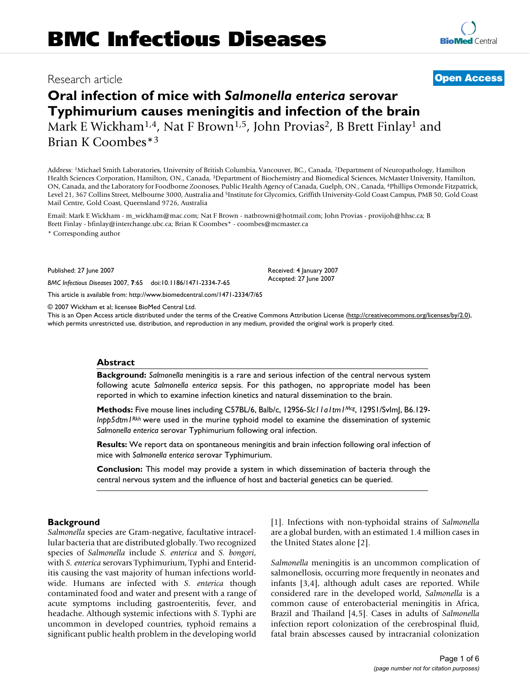# Research article **[Open Access](http://www.biomedcentral.com/info/about/charter/)**

# **Oral infection of mice with** *Salmonella enterica* **serovar Typhimurium causes meningitis and infection of the brain** Mark E Wickham<sup>1,4</sup>, Nat F Brown<sup>1,5</sup>, John Provias<sup>2</sup>, B Brett Finlay<sup>1</sup> and Brian K Coombes\*3

Address: 1Michael Smith Laboratories, University of British Columbia, Vancouver, BC., Canada, 2Department of Neuropathology, Hamilton Health Sciences Corporation, Hamilton, ON., Canada, 3Department of Biochemistry and Biomedical Sciences, McMaster University, Hamilton, ON, Canada, and the Laboratory for Foodborne Zoonoses, Public Health Agency of Canada, Guelph, ON., Canada, 4Phillips Ormonde Fitzpatrick, Level 21, 367 Collins Street, Melbourne 3000, Australia and 5Institute for Glycomics, Griffith University-Gold Coast Campus, PMB 50, Gold Coast Mail Centre, Gold Coast, Queensland 9726, Australia

Email: Mark E Wickham - m\_wickham@mac.com; Nat F Brown - natbrowni@hotmail.com; John Provias - provijoh@hhsc.ca; B Brett Finlay - bfinlay@interchange.ubc.ca; Brian K Coombes\* - coombes@mcmaster.ca

\* Corresponding author

Published: 27 June 2007

*BMC Infectious Diseases* 2007, **7**:65 doi:10.1186/1471-2334-7-65

[This article is available from: http://www.biomedcentral.com/1471-2334/7/65](http://www.biomedcentral.com/1471-2334/7/65)

© 2007 Wickham et al; licensee BioMed Central Ltd.

This is an Open Access article distributed under the terms of the Creative Commons Attribution License [\(http://creativecommons.org/licenses/by/2.0\)](http://creativecommons.org/licenses/by/2.0), which permits unrestricted use, distribution, and reproduction in any medium, provided the original work is properly cited.

#### **Abstract**

**Background:** *Salmonella* meningitis is a rare and serious infection of the central nervous system following acute *Salmonella enterica* sepsis. For this pathogen, no appropriate model has been reported in which to examine infection kinetics and natural dissemination to the brain.

**Methods:** Five mouse lines including C57BL/6, Balb/c, 129S6-*Slc11a1tm1Mcg*, 129S1/SvImJ, B6.129- *Inpp5dtm1Rkh* were used in the murine typhoid model to examine the dissemination of systemic *Salmonella enterica* serovar Typhimurium following oral infection.

**Results:** We report data on spontaneous meningitis and brain infection following oral infection of mice with *Salmonella enterica* serovar Typhimurium.

**Conclusion:** This model may provide a system in which dissemination of bacteria through the central nervous system and the influence of host and bacterial genetics can be queried.

#### **Background**

*Salmonella* species are Gram-negative, facultative intracellular bacteria that are distributed globally. Two recognized species of *Salmonella* include *S. enterica* and *S. bongori*, with *S. enterica* serovars Typhimurium, Typhi and Enteriditis causing the vast majority of human infections worldwide. Humans are infected with *S. enterica* though contaminated food and water and present with a range of acute symptoms including gastroenteritis, fever, and headache. Although systemic infections with *S*. Typhi are uncommon in developed countries, typhoid remains a significant public health problem in the developing world [1]. Infections with non-typhoidal strains of *Salmonella* are a global burden, with an estimated 1.4 million cases in the United States alone [2].

*Salmonella* meningitis is an uncommon complication of salmonellosis, occurring more frequently in neonates and infants [3,4], although adult cases are reported. While considered rare in the developed world, *Salmonella* is a common cause of enterobacterial meningitis in Africa, Brazil and Thailand [4,5]. Cases in adults of *Salmonella* infection report colonization of the cerebrospinal fluid, fatal brain abscesses caused by intracranial colonization



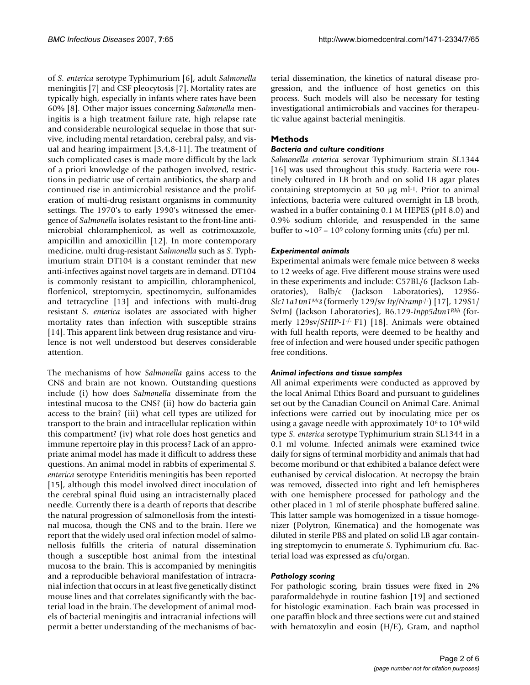of *S. enterica* serotype Typhimurium [6], adult *Salmonella* meningitis [7] and CSF pleocytosis [7]. Mortality rates are typically high, especially in infants where rates have been 60% [8]. Other major issues concerning *Salmonella* meningitis is a high treatment failure rate, high relapse rate and considerable neurological sequelae in those that survive, including mental retardation, cerebral palsy, and visual and hearing impairment [3,4,8-11]. The treatment of such complicated cases is made more difficult by the lack of a priori knowledge of the pathogen involved, restrictions in pediatric use of certain antibiotics, the sharp and continued rise in antimicrobial resistance and the proliferation of multi-drug resistant organisms in community settings. The 1970's to early 1990's witnessed the emergence of *Salmonella* isolates resistant to the front-line antimicrobial chloramphenicol, as well as cotrimoxazole, ampicillin and amoxicillin [12]. In more contemporary medicine, multi drug-resistant *Salmonella* such as *S*. Typhimurium strain DT104 is a constant reminder that new anti-infectives against novel targets are in demand. DT104 is commonly resistant to ampicillin, chloramphenicol, florfenicol, streptomycin, spectinomycin, sulfonamides and tetracycline [13] and infections with multi-drug resistant *S. enterica* isolates are associated with higher mortality rates than infection with susceptible strains [14]. This apparent link between drug resistance and virulence is not well understood but deserves considerable attention.

The mechanisms of how *Salmonella* gains access to the CNS and brain are not known. Outstanding questions include (i) how does *Salmonella* disseminate from the intestinal mucosa to the CNS? (ii) how do bacteria gain access to the brain? (iii) what cell types are utilized for transport to the brain and intracellular replication within this compartment? (iv) what role does host genetics and immune repertoire play in this process? Lack of an appropriate animal model has made it difficult to address these questions. An animal model in rabbits of experimental *S. enterica* serotype Enteriditis meningitis has been reported [15], although this model involved direct inoculation of the cerebral spinal fluid using an intracisternally placed needle. Currently there is a dearth of reports that describe the natural progression of salmonellosis from the intestinal mucosa, though the CNS and to the brain. Here we report that the widely used oral infection model of salmonellosis fulfills the criteria of natural dissemination though a susceptible host animal from the intestinal mucosa to the brain. This is accompanied by meningitis and a reproducible behavioral manifestation of intracranial infection that occurs in at least five genetically distinct mouse lines and that correlates significantly with the bacterial load in the brain. The development of animal models of bacterial meningitis and intracranial infections will permit a better understanding of the mechanisms of bacterial dissemination, the kinetics of natural disease progression, and the influence of host genetics on this process. Such models will also be necessary for testing investigational antimicrobials and vaccines for therapeutic value against bacterial meningitis.

# **Methods**

# *Bacteria and culture conditions*

*Salmonella enterica* serovar Typhimurium strain SL1344 [16] was used throughout this study. Bacteria were routinely cultured in LB broth and on solid LB agar plates containing streptomycin at 50 µg ml-1. Prior to animal infections, bacteria were cultured overnight in LB broth, washed in a buffer containing 0.1 M HEPES (pH 8.0) and 0.9% sodium chloride, and resuspended in the same buffer to  $\sim$ 10<sup>7</sup> – 10<sup>9</sup> colony forming units (cfu) per ml.

# *Experimental animals*

Experimental animals were female mice between 8 weeks to 12 weeks of age. Five different mouse strains were used in these experiments and include: C57BL/6 (Jackson Laboratories), Balb/c (Jackson Laboratories), 129S6- *Slc11a1tm1Mcg* (formerly 129/sv *Ity/Nramp*-/-) [17], 129S1/ SvImJ (Jackson Laboratories), B6.129-*Inpp5dtm1Rkh* (formerly 129sv/SHIP-1<sup>-/-</sup> F1) [18]. Animals were obtained with full health reports, were deemed to be healthy and free of infection and were housed under specific pathogen free conditions.

# *Animal infections and tissue samples*

All animal experiments were conducted as approved by the local Animal Ethics Board and pursuant to guidelines set out by the Canadian Council on Animal Care. Animal infections were carried out by inoculating mice per os using a gavage needle with approximately 106 to 108 wild type *S. enterica* serotype Typhimurium strain SL1344 in a 0.1 ml volume. Infected animals were examined twice daily for signs of terminal morbidity and animals that had become moribund or that exhibited a balance defect were euthanised by cervical dislocation. At necropsy the brain was removed, dissected into right and left hemispheres with one hemisphere processed for pathology and the other placed in 1 ml of sterile phosphate buffered saline. This latter sample was homogenized in a tissue homogenizer (Polytron, Kinematica) and the homogenate was diluted in sterile PBS and plated on solid LB agar containing streptomycin to enumerate *S*. Typhimurium cfu. Bacterial load was expressed as cfu/organ.

# *Pathology scoring*

For pathologic scoring, brain tissues were fixed in 2% paraformaldehyde in routine fashion [19] and sectioned for histologic examination. Each brain was processed in one paraffin block and three sections were cut and stained with hematoxylin and eosin (H/E), Gram, and napthol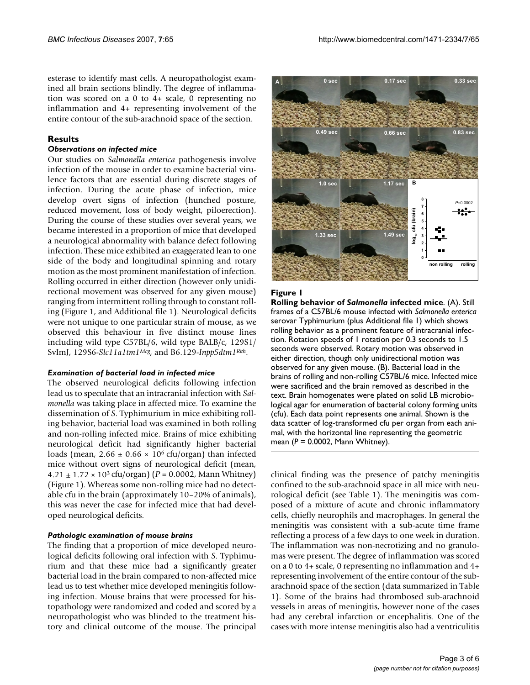esterase to identify mast cells. A neuropathologist examined all brain sections blindly. The degree of inflammation was scored on a 0 to 4+ scale, 0 representing no inflammation and 4+ representing involvement of the entire contour of the sub-arachnoid space of the section.

## **Results**

#### *Observations on infected mice*

Our studies on *Salmonella enterica* pathogenesis involve infection of the mouse in order to examine bacterial virulence factors that are essential during discrete stages of infection. During the acute phase of infection, mice develop overt signs of infection (hunched posture, reduced movement, loss of body weight, piloerection). During the course of these studies over several years, we became interested in a proportion of mice that developed a neurological abnormality with balance defect following infection. These mice exhibited an exaggerated lean to one side of the body and longitudinal spinning and rotary motion as the most prominent manifestation of infection. Rolling occurred in either direction (however only unidirectional movement was observed for any given mouse) ranging from intermittent rolling through to constant rolling (Figure 1, and Additional file 1). Neurological deficits were not unique to one particular strain of mouse, as we observed this behaviour in five distinct mouse lines including wild type C57BL/6, wild type BALB/c, 129S1/ SvImJ, 129S6-*Slc11a1tm1Mcg*, and B6.129-*Inpp5dtm1Rkh*.

#### *Examination of bacterial load in infected mice*

The observed neurological deficits following infection lead us to speculate that an intracranial infection with *Salmonella* was taking place in affected mice. To examine the dissemination of *S*. Typhimurium in mice exhibiting rolling behavior, bacterial load was examined in both rolling and non-rolling infected mice. Brains of mice exhibiting neurological deficit had significantly higher bacterial loads (mean,  $2.66 \pm 0.66 \times 10^6$  cfu/organ) than infected mice without overt signs of neurological deficit (mean, 4.21 ± 1.72 × 103 cfu/organ) (*P* = 0.0002, Mann Whitney) (Figure 1). Whereas some non-rolling mice had no detectable cfu in the brain (approximately 10–20% of animals), this was never the case for infected mice that had developed neurological deficits.

#### *Pathologic examination of mouse brains*

The finding that a proportion of mice developed neurological deficits following oral infection with *S*. Typhimurium and that these mice had a significantly greater bacterial load in the brain compared to non-affected mice lead us to test whether mice developed meningitis following infection. Mouse brains that were processed for histopathology were randomized and coded and scored by a neuropathologist who was blinded to the treatment history and clinical outcome of the mouse. The principal



#### **Figure 1**

**Rolling behavior of** *Salmonella* **infected mice**. (A). Still frames of a C57BL/6 mouse infected with *Salmonella enterica*  serovar Typhimurium (plus Additional file 1) which shows rolling behavior as a prominent feature of intracranial infection. Rotation speeds of 1 rotation per 0.3 seconds to 1.5 seconds were observed. Rotary motion was observed in either direction, though only unidirectional motion was observed for any given mouse. (B). Bacterial load in the brains of rolling and non-rolling C57BL/6 mice. Infected mice were sacrificed and the brain removed as described in the text. Brain homogenates were plated on solid LB microbiological agar for enumeration of bacterial colony forming units (cfu). Each data point represents one animal. Shown is the data scatter of log-transformed cfu per organ from each animal, with the horizontal line representing the geometric mean (*P* = 0.0002, Mann Whitney).

clinical finding was the presence of patchy meningitis confined to the sub-arachnoid space in all mice with neurological deficit (see Table 1). The meningitis was composed of a mixture of acute and chronic inflammatory cells, chiefly neurophils and macrophages. In general the meningitis was consistent with a sub-acute time frame reflecting a process of a few days to one week in duration. The inflammation was non-necrotizing and no granulomas were present. The degree of inflammation was scored on a 0 to 4+ scale, 0 representing no inflammation and 4+ representing involvement of the entire contour of the subarachnoid space of the section (data summarized in Table 1). Some of the brains had thrombosed sub-arachnoid vessels in areas of meningitis, however none of the cases had any cerebral infarction or encephalitis. One of the cases with more intense meningitis also had a ventriculitis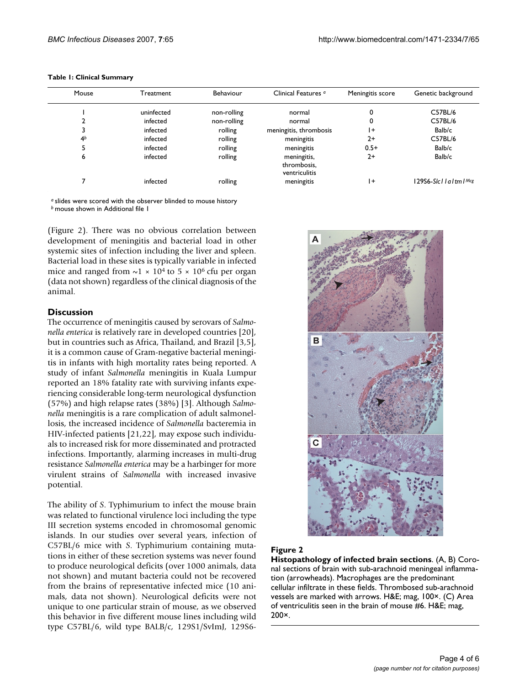| Mouse          | Treatment  | Behaviour   | Clinical Features <sup>a</sup>              | Meningitis score | Genetic background         |
|----------------|------------|-------------|---------------------------------------------|------------------|----------------------------|
|                | uninfected | non-rolling | normal                                      | 0                | C57BL/6                    |
|                | infected   | non-rolling | normal                                      | 0                | C57BL/6                    |
|                | infected   | rolling     | meningitis, thrombosis                      | r +              | Balb/c                     |
| 4 <sup>b</sup> | infected   | rolling     | meningitis                                  | $^{2+}$          | C57BL/6                    |
| э              | infected   | rolling     | meningitis                                  | $0.5+$           | Balb/c                     |
| ь              | infected   | rolling     | meningitis,<br>thrombosis,<br>ventriculitis | $2+$             | Balb/c                     |
|                | infected   | rolling     | meningitis                                  | $\ddot{}$        | $129S6-Sk1$ I a I tm I Mcg |

#### **Table 1: Clinical Summary**

*<sup>a</sup>*slides were scored with the observer blinded to mouse history *b* mouse shown in Additional file 1

(Figure 2). There was no obvious correlation between development of meningitis and bacterial load in other systemic sites of infection including the liver and spleen. Bacterial load in these sites is typically variable in infected mice and ranged from  $\sim$ 1 × 10<sup>4</sup> to 5 × 10<sup>6</sup> cfu per organ (data not shown) regardless of the clinical diagnosis of the animal.

#### **Discussion**

The occurrence of meningitis caused by serovars of *Salmonella enterica* is relatively rare in developed countries [20], but in countries such as Africa, Thailand, and Brazil [3,5], it is a common cause of Gram-negative bacterial meningitis in infants with high mortality rates being reported. A study of infant *Salmonella* meningitis in Kuala Lumpur reported an 18% fatality rate with surviving infants experiencing considerable long-term neurological dysfunction (57%) and high relapse rates (38%) [3]. Although *Salmonella* meningitis is a rare complication of adult salmonellosis, the increased incidence of *Salmonella* bacteremia in HIV-infected patients [21,22], may expose such individuals to increased risk for more disseminated and protracted infections. Importantly, alarming increases in multi-drug resistance *Salmonella enterica* may be a harbinger for more virulent strains of *Salmonella* with increased invasive potential.

The ability of *S*. Typhimurium to infect the mouse brain was related to functional virulence loci including the type III secretion systems encoded in chromosomal genomic islands. In our studies over several years, infection of C57BL/6 mice with *S*. Typhimurium containing mutations in either of these secretion systems was never found to produce neurological deficits (over 1000 animals, data not shown) and mutant bacteria could not be recovered from the brains of representative infected mice (10 animals, data not shown). Neurological deficits were not unique to one particular strain of mouse, as we observed this behavior in five different mouse lines including wild type C57BL/6, wild type BALB/c, 129S1/SvImJ, 129S6-



#### **Figure 2**

**Histopathology of infected brain sections**. (A, B) Coronal sections of brain with sub-arachnoid meningeal inflammation (arrowheads). Macrophages are the predominant cellular infiltrate in these fields. Thrombosed sub-arachnoid vessels are marked with arrows. H&E; mag, 100×. (C) Area of ventriculitis seen in the brain of mouse #6. H&E; mag, 200×.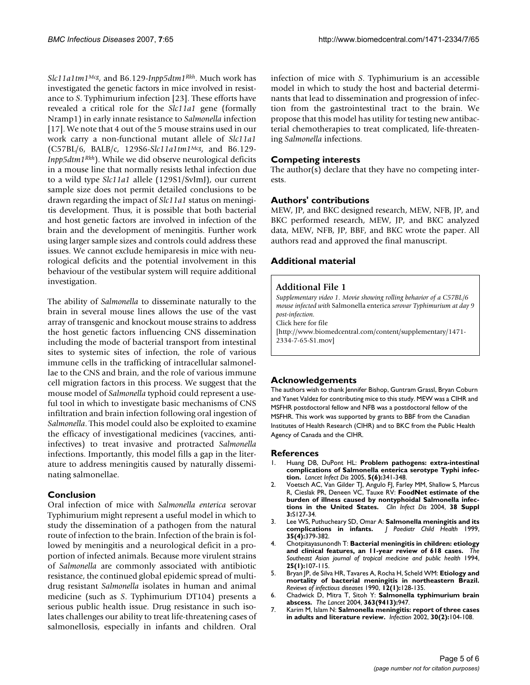*Slc11a1tm1Mcg*, and B6.129-*Inpp5dtm1Rkh*. Much work has investigated the genetic factors in mice involved in resistance to *S*. Typhimurium infection [23]. These efforts have revealed a critical role for the *Slc11a1* gene (formally Nramp1) in early innate resistance to *Salmonella* infection [17]. We note that 4 out of the 5 mouse strains used in our work carry a non-functional mutant allele of *Slc11a1* (C57BL/6, BALB/c, 129S6-*Slc11a1tm1Mcg*, and B6.129- *Inpp5dtm1Rkh*). While we did observe neurological deficits in a mouse line that normally resists lethal infection due to a wild type *Slc11a1* allele (129S1/SvImJ), our current sample size does not permit detailed conclusions to be drawn regarding the impact of *Slc11a1* status on meningitis development. Thus, it is possible that both bacterial and host genetic factors are involved in infection of the brain and the development of meningitis. Further work using larger sample sizes and controls could address these issues. We cannot exclude hemiparesis in mice with neurological deficits and the potential involvement in this behaviour of the vestibular system will require additional investigation.

The ability of *Salmonella* to disseminate naturally to the brain in several mouse lines allows the use of the vast array of transgenic and knockout mouse strains to address the host genetic factors influencing CNS dissemination including the mode of bacterial transport from intestinal sites to systemic sites of infection, the role of various immune cells in the trafficking of intracellular salmonellae to the CNS and brain, and the role of various immune cell migration factors in this process. We suggest that the mouse model of *Salmonella* typhoid could represent a useful tool in which to investigate basic mechanisms of CNS infiltration and brain infection following oral ingestion of *Salmonella*. This model could also be exploited to examine the efficacy of investigational medicines (vaccines, antiinfectives) to treat invasive and protracted *Salmonella* infections. Importantly, this model fills a gap in the literature to address meningitis caused by naturally disseminating salmonellae.

# **Conclusion**

Oral infection of mice with *Salmonella enterica* serovar Typhimurium might represent a useful model in which to study the dissemination of a pathogen from the natural route of infection to the brain. Infection of the brain is followed by meningitis and a neurological deficit in a proportion of infected animals. Because more virulent strains of *Salmonella* are commonly associated with antibiotic resistance, the continued global epidemic spread of multidrug resistant *Salmonella* isolates in human and animal medicine (such as *S*. Typhimurium DT104) presents a serious public health issue. Drug resistance in such isolates challenges our ability to treat life-threatening cases of salmonellosis, especially in infants and children. Oral

infection of mice with *S*. Typhimurium is an accessible model in which to study the host and bacterial determinants that lead to dissemination and progression of infection from the gastrointestinal tract to the brain. We propose that this model has utility for testing new antibacterial chemotherapies to treat complicated, life-threatening *Salmonella* infections.

# **Competing interests**

The author(s) declare that they have no competing interests.

# **Authors' contributions**

MEW, JP, and BKC designed research, MEW, NFB, JP, and BKC performed research, MEW, JP, and BKC analyzed data, MEW, NFB, JP, BBF, and BKC wrote the paper. All authors read and approved the final manuscript.

# **Additional material**

### **Additional File 1**

*Supplementary video 1. Movie showing rolling behavior of a C57BL/6 mouse infected with* Salmonella enterica *serovar Typhimurium at day 9 post-infection.* Click here for file [\[http://www.biomedcentral.com/content/supplementary/1471-](http://www.biomedcentral.com/content/supplementary/1471-2334-7-65-S1.mov) 2334-7-65-S1.mov]

# **Acknowledgements**

The authors wish to thank Jennifer Bishop, Guntram Grassl, Bryan Coburn and Yanet Valdez for contributing mice to this study. MEW was a CIHR and MSFHR postdoctoral fellow and NFB was a postdoctoral fellow of the MSFHR. This work was supported by grants to BBF from the Canadian Institutes of Health Research (CIHR) and to BKC from the Public Health Agency of Canada and the CIHR.

# **References**

- 1. Huang DB, DuPont HL: **[Problem pathogens: extra-intestinal](http://www.ncbi.nlm.nih.gov/entrez/query.fcgi?cmd=Retrieve&db=PubMed&dopt=Abstract&list_uids=15919620) [complications of Salmonella enterica serotype Typhi infec](http://www.ncbi.nlm.nih.gov/entrez/query.fcgi?cmd=Retrieve&db=PubMed&dopt=Abstract&list_uids=15919620)[tion.](http://www.ncbi.nlm.nih.gov/entrez/query.fcgi?cmd=Retrieve&db=PubMed&dopt=Abstract&list_uids=15919620)** *Lancet Infect Dis* 2005, **5(6):**341-348.
- 2. Voetsch AC, Van Gilder TJ, Angulo FJ, Farley MM, Shallow S, Marcus R, Cieslak PR, Deneen VC, Tauxe RV: **[FoodNet estimate of the](http://www.ncbi.nlm.nih.gov/entrez/query.fcgi?cmd=Retrieve&db=PubMed&dopt=Abstract&list_uids=15095181) [burden of illness caused by nontyphoidal Salmonella infec](http://www.ncbi.nlm.nih.gov/entrez/query.fcgi?cmd=Retrieve&db=PubMed&dopt=Abstract&list_uids=15095181)[tions in the United States.](http://www.ncbi.nlm.nih.gov/entrez/query.fcgi?cmd=Retrieve&db=PubMed&dopt=Abstract&list_uids=15095181)** *Clin Infect Dis* 2004, **38 Suppl 3:**S127-34.
- 3. Lee WS, Puthucheary SD, Omar A: **[Salmonella meningitis and its](http://www.ncbi.nlm.nih.gov/entrez/query.fcgi?cmd=Retrieve&db=PubMed&dopt=Abstract&list_uids=10457297) [complications in infants.](http://www.ncbi.nlm.nih.gov/entrez/query.fcgi?cmd=Retrieve&db=PubMed&dopt=Abstract&list_uids=10457297)** *J Paediatr Child Health* 1999, **35(4):**379-382.
- 4. Chotpitayasunondh T: **Bacterial meningitis in children: etiology and clinical features, an 11-year review of 618 cases.** *The Southeast Asian journal of tropical medicine and public health* 1994, **25(1):**107-115.
- 5. Bryan JP, de Silva HR, Tavares A, Rocha H, Scheld WM: **[Etiology and](http://www.ncbi.nlm.nih.gov/entrez/query.fcgi?cmd=Retrieve&db=PubMed&dopt=Abstract&list_uids=2300734) [mortality of bacterial meningitis in northeastern Brazil.](http://www.ncbi.nlm.nih.gov/entrez/query.fcgi?cmd=Retrieve&db=PubMed&dopt=Abstract&list_uids=2300734)** *Reviews of infectious diseases* 1990, **12(1):**128-135.
- 6. Chadwick D, Mitra T, Sitoh Y: **Salmonella typhimurium brain abscess.** *The Lancet* 2004, **363(9413):**947.
- 7. Karim M, Islam N: **[Salmonella meningitis: report of three cases](http://www.ncbi.nlm.nih.gov/entrez/query.fcgi?cmd=Retrieve&db=PubMed&dopt=Abstract&list_uids=12018467) [in adults and literature review.](http://www.ncbi.nlm.nih.gov/entrez/query.fcgi?cmd=Retrieve&db=PubMed&dopt=Abstract&list_uids=12018467)** *Infection* 2002, **30(2):**104-108.